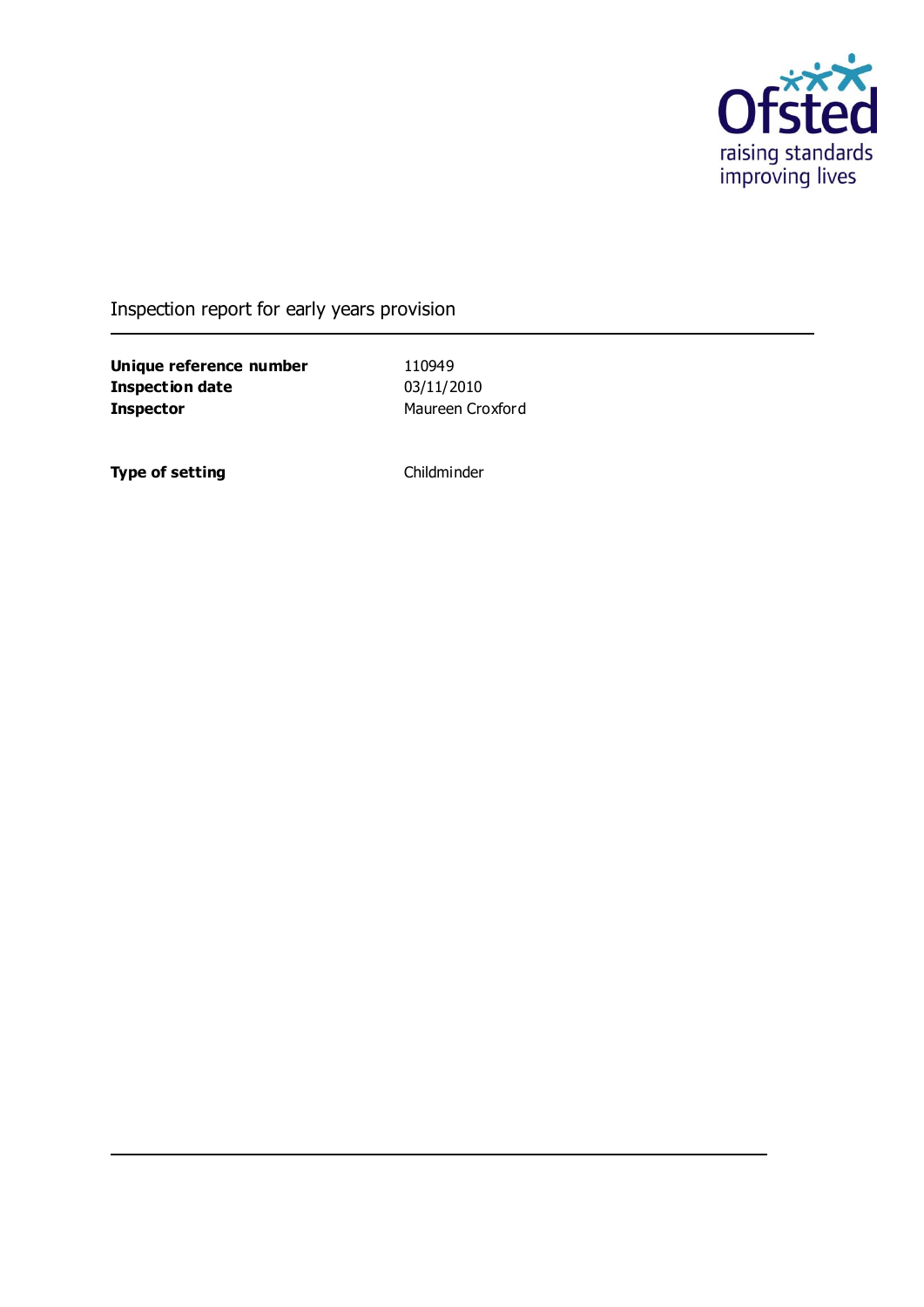

#### Inspection report for early years provision

**Unique reference number** 110949<br> **Inspection date** 03/11/2010 **Inspection date Inspector** Maureen Croxford

**Type of setting** Childminder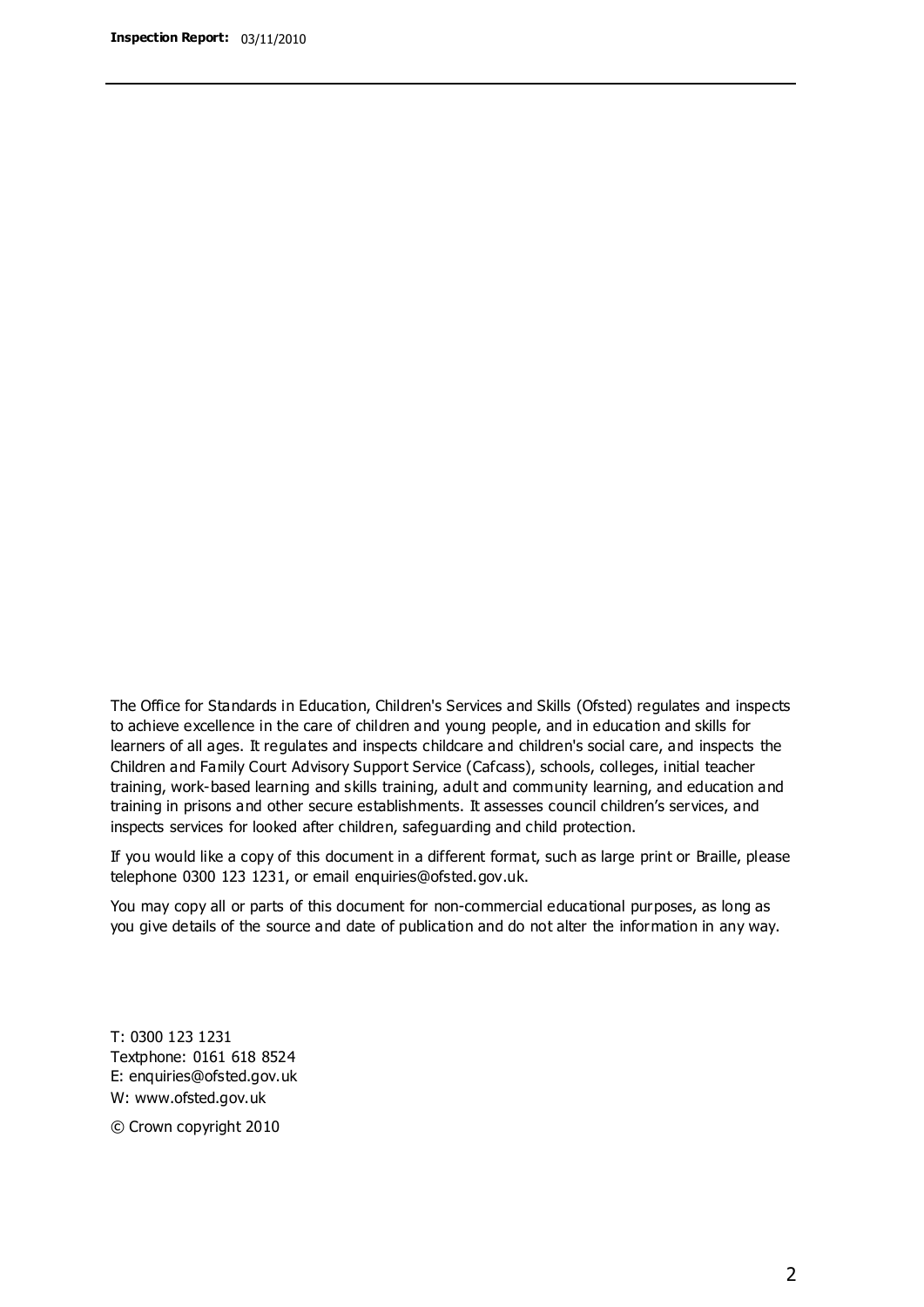The Office for Standards in Education, Children's Services and Skills (Ofsted) regulates and inspects to achieve excellence in the care of children and young people, and in education and skills for learners of all ages. It regulates and inspects childcare and children's social care, and inspects the Children and Family Court Advisory Support Service (Cafcass), schools, colleges, initial teacher training, work-based learning and skills training, adult and community learning, and education and training in prisons and other secure establishments. It assesses council children's services, and inspects services for looked after children, safeguarding and child protection.

If you would like a copy of this document in a different format, such as large print or Braille, please telephone 0300 123 1231, or email enquiries@ofsted.gov.uk.

You may copy all or parts of this document for non-commercial educational purposes, as long as you give details of the source and date of publication and do not alter the information in any way.

T: 0300 123 1231 Textphone: 0161 618 8524 E: enquiries@ofsted.gov.uk W: [www.ofsted.gov.uk](http://www.ofsted.gov.uk/)

© Crown copyright 2010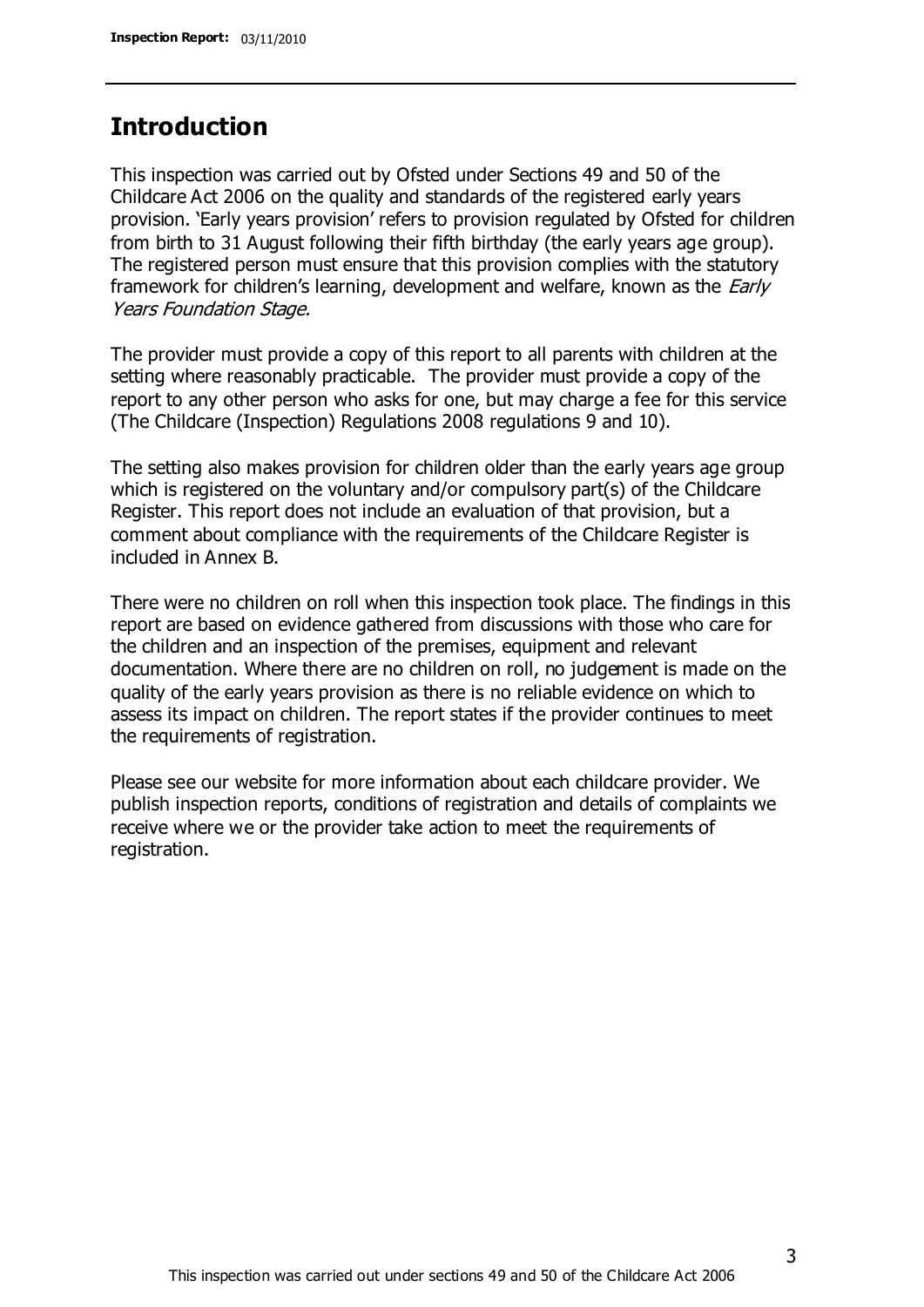### **Introduction**

This inspection was carried out by Ofsted under Sections 49 and 50 of the Childcare Act 2006 on the quality and standards of the registered early years provision. 'Early years provision' refers to provision regulated by Ofsted for children from birth to 31 August following their fifth birthday (the early years age group). The registered person must ensure that this provision complies with the statutory framework for children's learning, development and welfare, known as the *Early* Years Foundation Stage.

The provider must provide a copy of this report to all parents with children at the setting where reasonably practicable. The provider must provide a copy of the report to any other person who asks for one, but may charge a fee for this service (The Childcare (Inspection) Regulations 2008 regulations 9 and 10).

The setting also makes provision for children older than the early years age group which is registered on the voluntary and/or compulsory part(s) of the Childcare Register. This report does not include an evaluation of that provision, but a comment about compliance with the requirements of the Childcare Register is included in Annex B.

There were no children on roll when this inspection took place. The findings in this report are based on evidence gathered from discussions with those who care for the children and an inspection of the premises, equipment and relevant documentation. Where there are no children on roll, no judgement is made on the quality of the early years provision as there is no reliable evidence on which to assess its impact on children. The report states if the provider continues to meet the requirements of registration.

Please see our website for more information about each childcare provider. We publish inspection reports, conditions of registration and details of complaints we receive where we or the provider take action to meet the requirements of registration.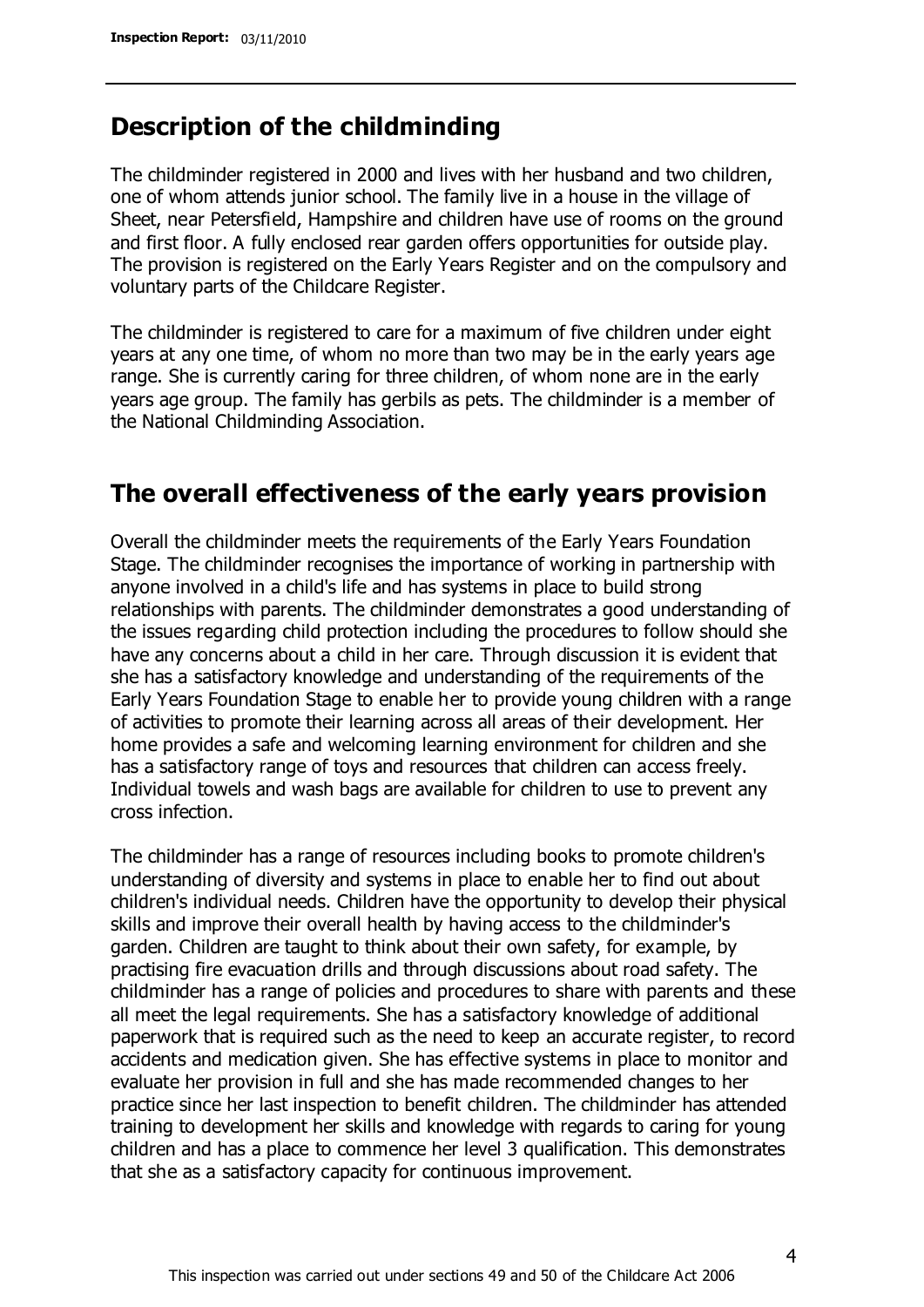#### **Description of the childminding**

The childminder registered in 2000 and lives with her husband and two children, one of whom attends junior school. The family live in a house in the village of Sheet, near Petersfield, Hampshire and children have use of rooms on the ground and first floor. A fully enclosed rear garden offers opportunities for outside play. The provision is registered on the Early Years Register and on the compulsory and voluntary parts of the Childcare Register.

The childminder is registered to care for a maximum of five children under eight years at any one time, of whom no more than two may be in the early years age range. She is currently caring for three children, of whom none are in the early years age group. The family has gerbils as pets. The childminder is a member of the National Childminding Association.

#### **The overall effectiveness of the early years provision**

Overall the childminder meets the requirements of the Early Years Foundation Stage. The childminder recognises the importance of working in partnership with anyone involved in a child's life and has systems in place to build strong relationships with parents. The childminder demonstrates a good understanding of the issues regarding child protection including the procedures to follow should she have any concerns about a child in her care. Through discussion it is evident that she has a satisfactory knowledge and understanding of the requirements of the Early Years Foundation Stage to enable her to provide young children with a range of activities to promote their learning across all areas of their development. Her home provides a safe and welcoming learning environment for children and she has a satisfactory range of toys and resources that children can access freely. Individual towels and wash bags are available for children to use to prevent any cross infection.

The childminder has a range of resources including books to promote children's understanding of diversity and systems in place to enable her to find out about children's individual needs. Children have the opportunity to develop their physical skills and improve their overall health by having access to the childminder's garden. Children are taught to think about their own safety, for example, by practising fire evacuation drills and through discussions about road safety. The childminder has a range of policies and procedures to share with parents and these all meet the legal requirements. She has a satisfactory knowledge of additional paperwork that is required such as the need to keep an accurate register, to record accidents and medication given. She has effective systems in place to monitor and evaluate her provision in full and she has made recommended changes to her practice since her last inspection to benefit children. The childminder has attended training to development her skills and knowledge with regards to caring for young children and has a place to commence her level 3 qualification. This demonstrates that she as a satisfactory capacity for continuous improvement.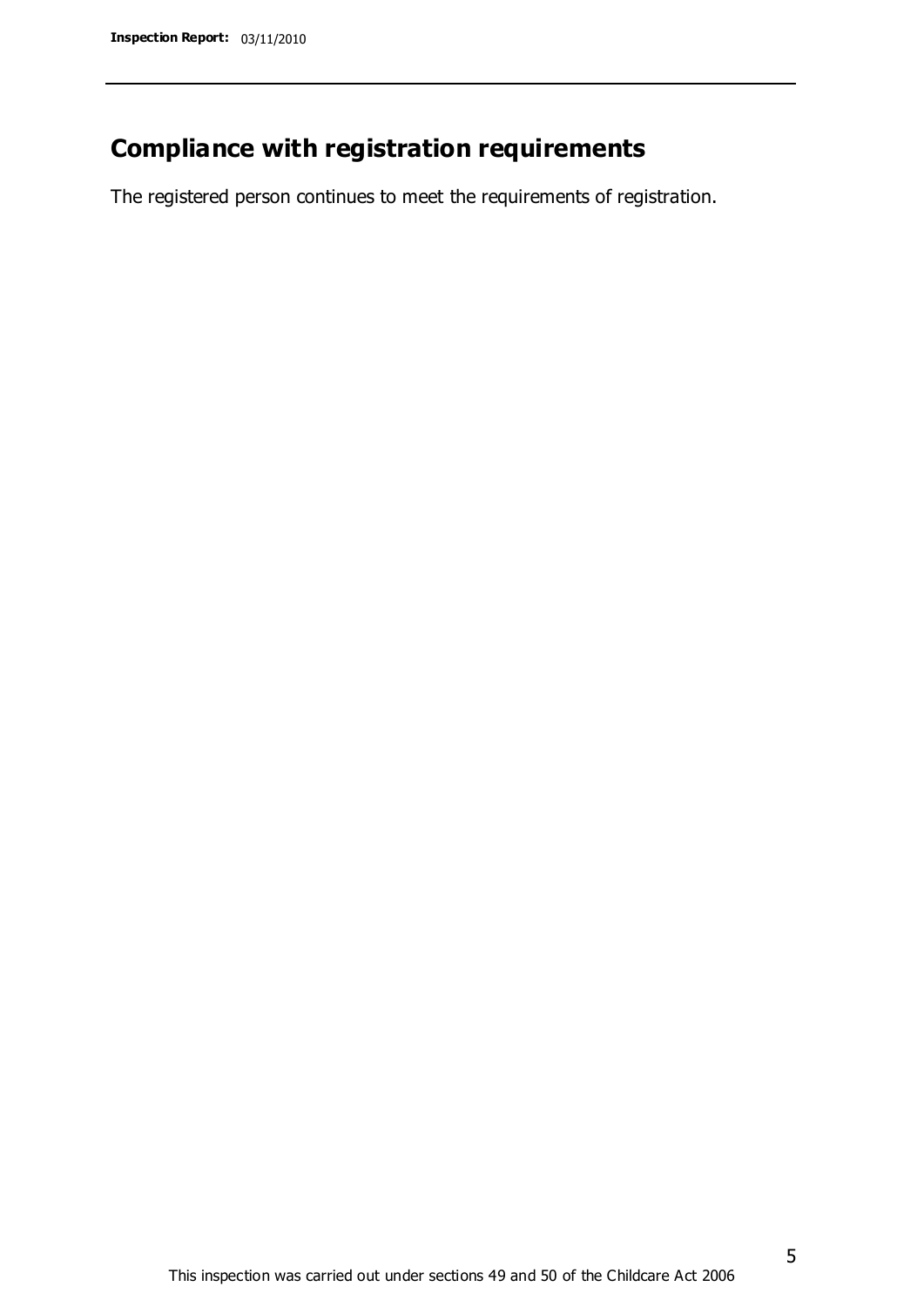## **Compliance with registration requirements**

The registered person continues to meet the requirements of registration.